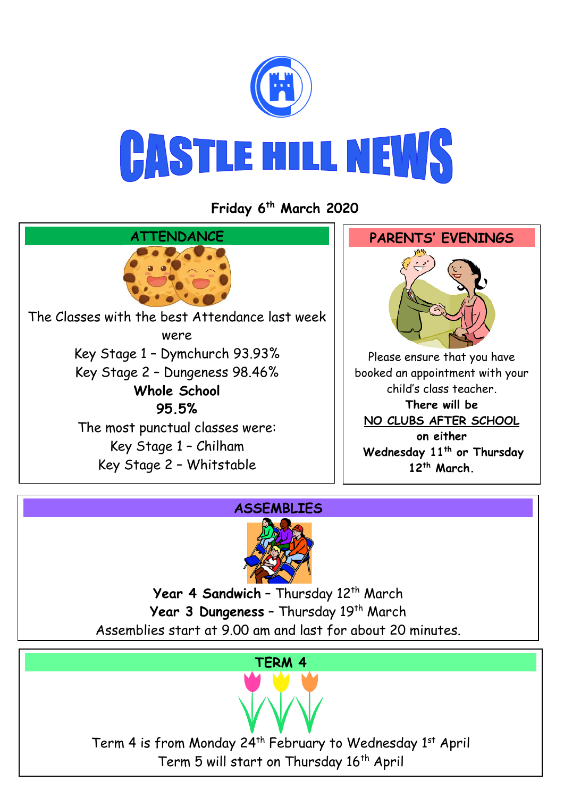

**Friday 6 th March 2020**



## **ASSEMBLIES**



Year 4 Sandwich - Thursday 12<sup>th</sup> March Year 3 Dungeness - Thursday 19<sup>th</sup> March Assemblies start at 9.00 am and last for about 20 minutes.

## **TERM 4**

Term 4 is from Monday 24<sup>th</sup> February to Wednesday 1<sup>st</sup> April Term 5 will start on Thursday 16<sup>th</sup> April